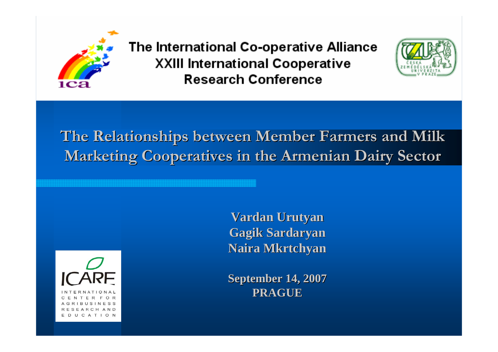

The International Co-operative Alliance **XXIII International Cooperative Research Conference** 



**The Relationships between Member Farmers and Milk Marketing Cooperatives in the Armenian Dairy Sector Marketing Cooperatives in the Armenian Dairy Sector**



**Vardan Urutyan Urutyan Gagik Sardaryan Naira Mkrtchyan Mkrtchyan**

**September 14, 2007 September 14, 2007 PRAGUE**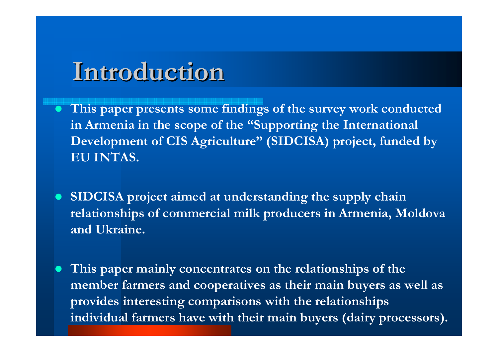# **Introduction Introduction**

- $\bullet$  **This paper presents some findings of the survey work conducted in Armenia in the scope of the "Supporting the International Development of CIS Agriculture" (SIDCISA) project, funded by EU INTAS.**
- $\bullet$  **SIDCISA project aimed at understanding the supply chain relationships of commercial milk producers in Armenia, Moldova and Ukraine.**
- $\bullet$  **This paper mainly concentrates on the relationships of the member farmers and cooperatives as their main buyers as well as provides interesting comparisons with the relationships individual farmers have with their main buyers (dairy processors).**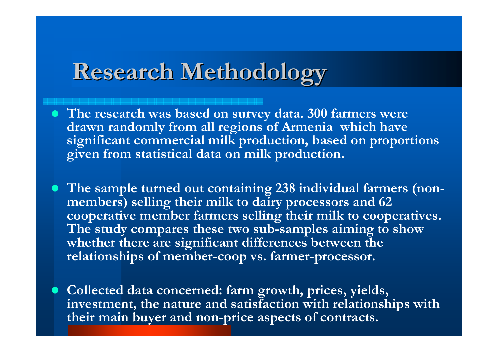# **Research Methodology Research Methodology**

- **The research was based on survey data. 300 farmers were drawn randomly from all regions of Armenia which have significant commercial milk production, based on proportions given from statistical data on milk production.**
- **The sample turned out containing 238 individual farmers (nonmembers) selling their milk to dairy processors and 62 cooperative member farmers selling their milk to cooperatives. The study compares these two sub-samples aiming to show whether there are significant differences between the relationships of member-coop vs. farmer-processor.**
- **Collected data concerned: farm growth, prices, yields, investment, the nature and satisfaction with relationships with their main buyer and non-price aspects of contracts.**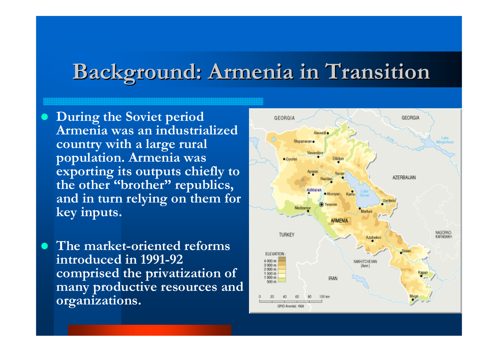## **Background: Armenia in Transition Background: Armenia in Transition**

 $\bullet$  **During the Soviet period Armenia was an industrialized country with a large rural population. Armenia was exporting its outputs chiefly to the other "brother" republics, and in turn relying on them for key inputs.** 

 $\bullet$  **The market-oriented reforms introduced in 1991-92 comprised the privatization of many productive resources and organizations.** 

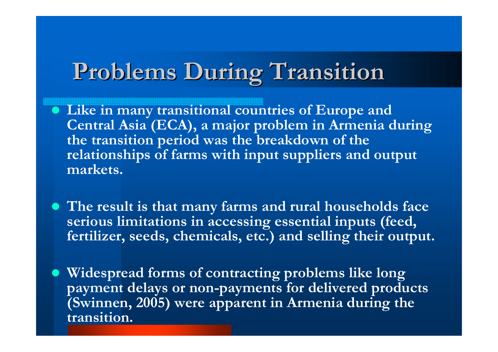# **Problems During Transition Problems During Transition**

- **Like in many transitional countries of Europe and Central Asia (ECA), a major problem in Armenia during the transition period was the breakdown of the relationships of farms with input suppliers and output markets.**
- $\bullet$  **The result is that many farms and rural households face serious limitations in accessing essential inputs (feed, fertilizer, seeds, chemicals, etc.) and selling their output.**
- $\bullet$  **Widespread forms of contracting problems like long payment delays or non-payments for delivered products (Swinnen, 2005) were apparent in Armenia during the transition.**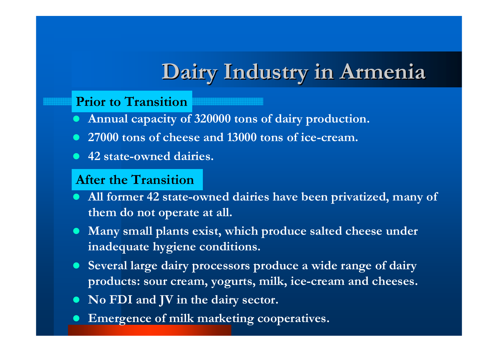# **Dairy Industry in Armenia Dairy Industry in Armenia**

#### **Prior to Transition**

- $\bullet$ **Annual capacity of 320000 tons of dairy production.**
- 27000 tons of cheese and 13000 tons of ice-cream.
- z **42 state-owned dairies.**

#### **After the Transition**

- **All former 42 state-owned dairies have been privatized, many of them do not operate at all.**
- **Many small plants exist, which produce salted cheese under inadequate hygiene conditions.**
- **Several large dairy processors produce a wide range of dairy products: sour cream, yogurts, milk, ice-cream and cheeses.**
- $\bullet$ **No FDI and JV in the dairy sector.**
- $\bullet$ **Emergence of milk marketing cooperatives.**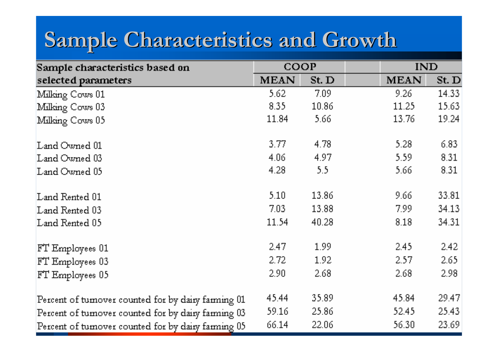# **Sample Characteristics and Growth Sample Characteristics and Growth**

| Sample characteristics based on                     | COOP        |       | <b>IND</b>  |       |
|-----------------------------------------------------|-------------|-------|-------------|-------|
| selected parameters                                 | <b>MEAN</b> | St. D | <b>MEAN</b> | St. D |
| Milking Cows 01                                     | 5.62        | 7.09  | 9.26        | 14.33 |
| Milking Cows 03                                     | 8.35        | 10.86 | 11.25       | 15.63 |
| Milking Cows 05                                     | 11.84       | 5.66  | 13.76       | 19.24 |
| Land Owned 01                                       | 3.77        | 4.78  | 5.28        | 6.83  |
| Land Owned 03                                       | 4.06        | 4.97  | 5.59        | 8.31  |
| Land Owned 05                                       | 4.28        | 5.5   | 5.66        | 8.31  |
| Land Rented 01                                      | 5.10        | 13.86 | 9.66        | 33.81 |
| Land Rented 03                                      | 7.03        | 13.88 | 7.99        | 34.13 |
| Land Rented 05                                      | 11.54       | 40.28 | 8.18        | 34.31 |
| FT Employees 01                                     | 2.47        | 1.99  | 2.45        | 2.42  |
| FT Employees 03                                     | 2.72        | 1.92  | 2.57        | 2.65  |
| FT Employees 05                                     | 2.90.       | 2.68  | 2.68        | 2.98  |
| Percent of tumover counted for by dairy farming 01  | 45.44       | 35.89 | 45.84       | 29.47 |
| Percent of turnover counted for by dairy farming 03 | 59.16       | 25.86 | 52.45       | 25.43 |
| Percent of tumover counted for by dairy farming 05  | 66.14       | 22.06 | 56.30       | 23.69 |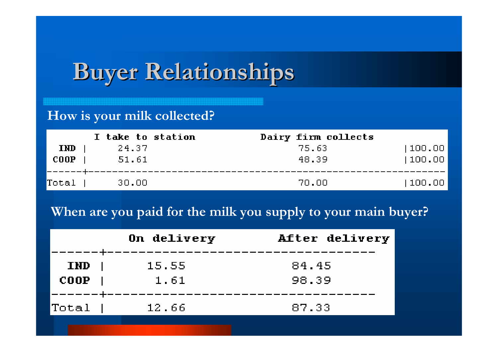# **Buyer Relationships Buyer Relationships**

### **How is your milk collected?**

|             | I take to station | Dairy firm collects |        |
|-------------|-------------------|---------------------|--------|
| <b>IND</b>  | 24.37             | 75.63               | 100.00 |
| <b>COOP</b> | 51.61             | 48.39               | 100.00 |
|             |                   |                     |        |
| Total       | 30.00             | 70.00               | 100.00 |

### **When are you paid for the milk you supply to your main buyer?**

|                           | On delivery   | After delivery |
|---------------------------|---------------|----------------|
| <b>IND</b><br><b>COOP</b> | 15.55<br>1.61 | 84.45<br>98.39 |
| Total                     | 12,66         | 87.33          |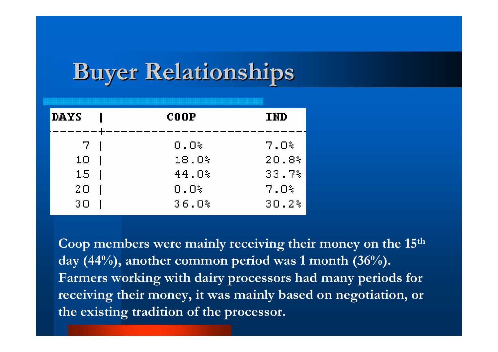# **Buyer Relationships**

| <b>DAYS</b> | $\bf COOP$ | <b>IMD</b> |
|-------------|------------|------------|
| <u>7 - </u> | O.O%       | $7.0\%$    |
| 10          | 18.0%      | 20.8%      |
| 15          | 44.0%      | 33.7%      |
| 20          | $0.0\%$    | $7.0\%$    |
| 30          | 36.0%      | 30.2%      |

**Coop members were mainly receiving their money on the 15th day (44%), another common period was 1 month (36%). Farmers working with dairy processors had many periods for receiving their money, it was mainly based on negotiation, or the existing tradition of the processor.**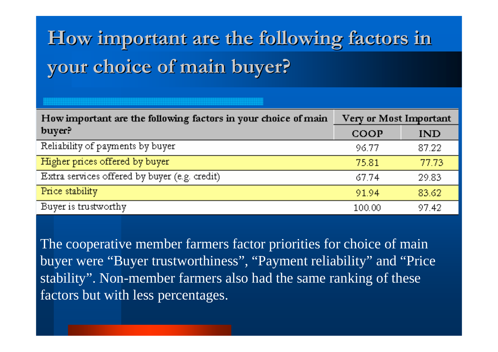# How important are the following factors in **your choice of main buyer? your choice of main buyer?**

| How important are the following factors in your choice of main | Very or Most Important |       |  |  |
|----------------------------------------------------------------|------------------------|-------|--|--|
| buyer?                                                         | COOP                   | IND   |  |  |
| Reliability of payments by buyer                               | 96.77                  | 87.22 |  |  |
| Higher prices offered by buyer                                 | 75.81                  | 77.73 |  |  |
| Extra services offered by buyer (e.g. credit)                  | 67.74                  | 29.83 |  |  |
| Price stability                                                | 91.94                  | 83.62 |  |  |
| Buyer is trustworthy                                           | 100.00                 | 97.42 |  |  |

The cooperative member farmers factor priorities for choice of main buyer were "Buyer trustworthiness", "Payment reliability" and "Price stability". Non-member farmers also had the same ranking of these factors but with less percentages.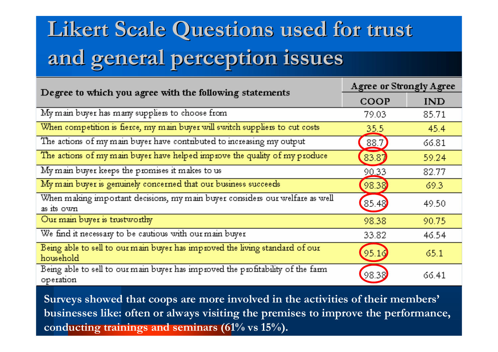# Likert Scale Questions used for trust **and general perception issues and general perception issues**

| Degree to which you agree with the following statements                                      | <b>Agree or Strongly Agree</b> |            |  |  |
|----------------------------------------------------------------------------------------------|--------------------------------|------------|--|--|
|                                                                                              | COOP                           | <b>IND</b> |  |  |
| My main buyer has many suppliers to choose from                                              | 79.03                          | 85.71      |  |  |
| When competition is fierce, my main buyer will switch suppliers to cut costs                 | 35.5                           | 45.4       |  |  |
| The actions of my main buyer have contributed to increasing my output                        | 88.7                           | 66.81      |  |  |
| The actions of my main buyer have helped improve the quality of my produce                   | [83.87]                        | 59.24      |  |  |
| My main buyer keeps the promises it makes to us                                              | 90.33                          | 82.77      |  |  |
| My main buyer is genuinely concerned that our business succeeds                              | 98.38                          | 69.3       |  |  |
| When making important decisions, my main buyer considers our welfare as well<br>as its own   | 85.48                          | 49.50      |  |  |
| Our main buyer is trustworthy                                                                | 98.38                          | 90.75      |  |  |
| We find it necessary to be cautious with our main buyer                                      | 33.82                          | 46.54      |  |  |
| Being able to sell to our main buyer has improved the living standard of our<br>household    | (95.16)                        | 65.1       |  |  |
| Being able to sell to our main buyer has improved the profitability of the farm<br>operation | 98.38                          | 66.41      |  |  |

**Surveys showed that coops are more involved in the activities of their members' businesses like: often or always visiting the premises to improve the performance, conducting trainings and seminars (61% vs 15%).**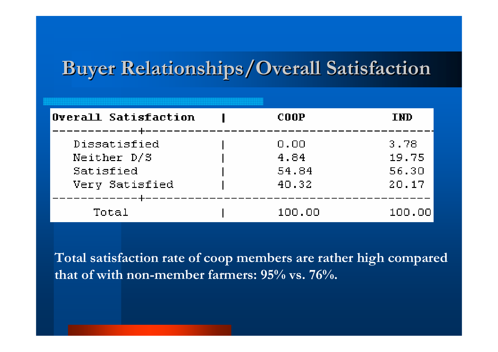### **Buyer Relationships/Overall Satisfaction Buyer Relationships/Overall Satisfaction**

| Overall Satisfaction | COOP   | <b>IND</b> |
|----------------------|--------|------------|
| Dissatisfied         | 0.00   | 3.78       |
| Neither D/S          | 4.84   | 19.75      |
| Satisfied            | 54.84  | 56.30      |
| Very Satisfied       | 40.32  | 20.17      |
| Total                | 100.00 | 100.00     |

**Total satisfaction rate of coop members are rather high compared that of with non-member farmers: 95% vs. 76%.**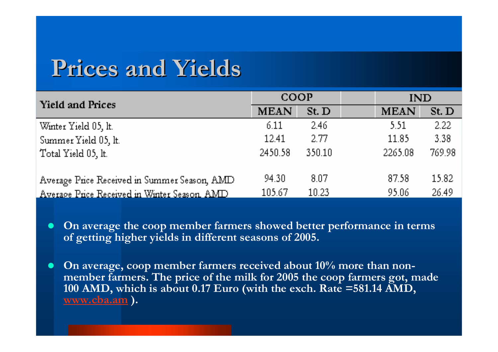## **Prices and Yields Prices and Yields**

| <b>Yield and Prices</b>                              | COOP        |                   | IND         |        |
|------------------------------------------------------|-------------|-------------------|-------------|--------|
|                                                      | <b>MEAN</b> | St. D             | <b>MEAN</b> | St. D  |
| Winter Yield 05, lt.                                 | 6.11        | 2.46 <sub>1</sub> | 5.51        | 2.22   |
| Summer Yield 05, lt.                                 | 12.41       | 2.77              | 11.85       | 3.38   |
| Total Yield 05, lt.                                  | 2450.58     | 350.10            | 2265.08     | 769.98 |
|                                                      |             |                   |             |        |
| Average Price Received in Summer Season, AMD         | 94.30       | 8.07              | 87.58       | 15.82  |
| <u>Average Price Received in Winter Season, AMD.</u> | 105.67      | 10.23             | 95.06       | 26.49  |

- $\bullet$  **On average the coop member farmers showed better performance in terms of getting higher yields in different seasons of 2005.**
- $\bullet$  **On average, coop member farmers received about 10% more than nonmember farmers. The price of the milk for 2005 the coop farmers got, made 100 AMD, which is about 0.17 Euro (with the exch. Rate =581.14 AMD, www.cba.am ).**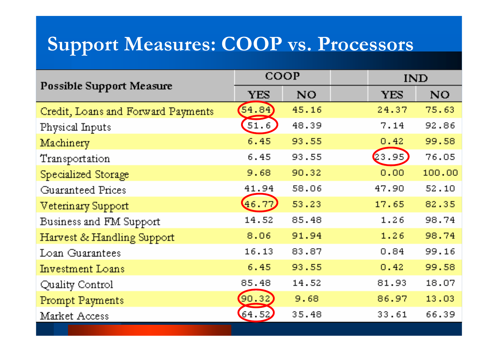### **Support Measures: COOP vs. Processors**

|                                    | COOP       |           | <b>IND</b> |           |
|------------------------------------|------------|-----------|------------|-----------|
| <b>Possible Support Measure</b>    | <b>YES</b> | <b>NO</b> | <b>YES</b> | <b>NO</b> |
| Credit, Loans and Forward Payments | (54.84)    | 45.16     | 24.37      | 75.63     |
| Physical Inputs                    | (51.6)     | 48.39     | 7.14       | 92.86     |
| Machinery                          | 6.45       | 93.55     | 0.42       | 99.58     |
| Transportation                     | 6.45       | 93.55     | (23.95)    | 76.05     |
| Specialized Storage                | 9.68       | 90.32     | 0.00       | 100.00    |
| Guaranteed Prices                  | 41.94      | 58.06     | 47.90      | 52.10     |
| Veterinary Support                 | 46.77      | 53.23     | 17.65      | 82.35     |
| Business and FM Support            | 14.52      | 85.48     | 1.26       | 98.74     |
| Harvest & Handling Support         | 8.06       | 91.94     | 1.26       | 98.74     |
| Loan Guarantees                    | 16.13      | 83.87     | 0.84       | 99.16     |
| Investment Loans                   | 6.45       | 93.55     | 0.42       | 99.58     |
| Quality Control                    | 85.48      | 14.52     | 81.93      | 18.07     |
| Prompt Payments                    | (90.32)    | 9.68      | 86.97      | 13.03     |
| Market Access                      | 64.52      | 35.48     | 33.61      | 66.39     |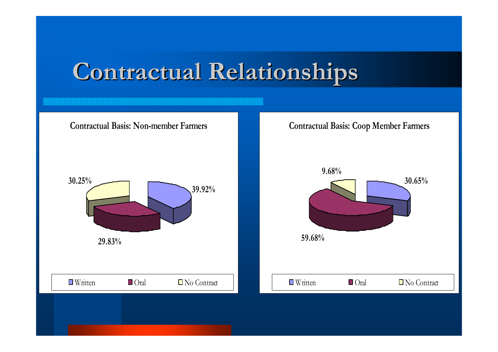# **Contractual Relationships Contractual Relationships**

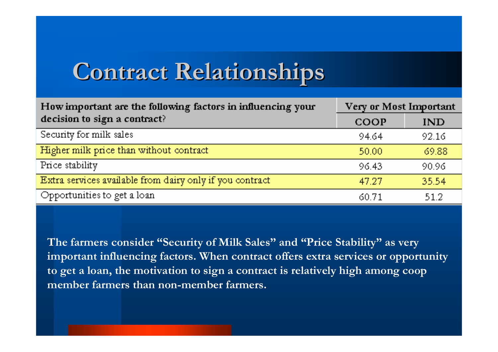# **Contract Relationships Contract Relationships**

| How important are the following factors in influencing your | Very or Most Important |       |  |  |
|-------------------------------------------------------------|------------------------|-------|--|--|
| decision to sign a contract?                                | COOP                   | IND   |  |  |
| Security for milk sales                                     | 94.64                  | 92.16 |  |  |
| Higher milk price than without contract                     | 50.00                  | 69.88 |  |  |
| Price stability                                             | 96.43                  | 90.96 |  |  |
| Extra services available from dairy only if you contract    | 47.27                  | 35.54 |  |  |
| Opportunities to get a loan                                 | 60.71                  | 51.2  |  |  |

**The farmers consider "Security of Milk Sales" and "Price Stability" as very important influencing factors. When contract offers extra services or opportunity to get a loan, the motivation to sign a contract is relatively high among coop member farmers than non-member farmers.**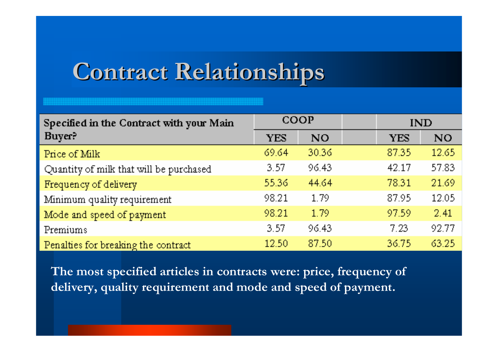# **Contract Relationships Contract Relationships**

| Specified in the Contract with your Main |            | COOP  | <b>IND</b> |       |
|------------------------------------------|------------|-------|------------|-------|
| Buyer?                                   | <b>YES</b> | NO.   | <b>YES</b> | NO.   |
| Price of Milk                            | 69.64      | 30.36 | 87.35      | 12.65 |
| Quantity of milk that will be purchased  | 3.57       | 96.43 | 42.17      | 57.83 |
| Frequency of delivery                    | 55.36      | 44.64 | 78.31      | 21.69 |
| Minimum quality requirement              | 98.21      | 1.79  | 87.95      | 12.05 |
| Mode and speed of payment                | 98.21      | 1.79  | 97.59      | 2.41  |
| Premiums                                 | 3.57       | 96.43 | 7.23       | 92.77 |
| Penalties for breaking the contract      | 12.50      | 87.50 | 36.75      | 63.25 |

**The most specified articles in contracts were: price, frequency of delivery, quality requirement and mode and speed of payment.**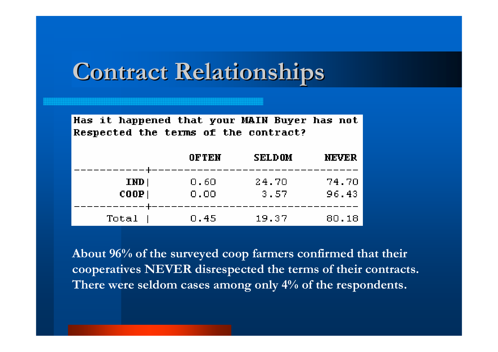## **Contract Relationships Contract Relationships**

| the to indictional side incorrection and the side of |  |       |        |       |
|------------------------------------------------------|--|-------|--------|-------|
| Respected the terms of the contract?                 |  |       |        |       |
|                                                      |  | OFTEN | SELDOM | NEVER |
|                                                      |  |       |        |       |

Has it hannened that your MAIN Buyer has not

| IMD        | 0.60 | 24.70 | 74.70 |
|------------|------|-------|-------|
| $COOP$ $ $ | 0.00 | 3.57  | 96.43 |
| Total      | 0.45 | 19.37 | 80.18 |

**About 96% of the surveyed coop farmers confirmed that their cooperatives NEVER disrespected the terms of their contracts. There were seldom cases among only 4% of the respondents.**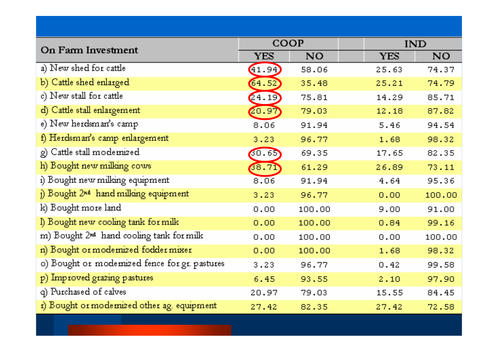| On Farm Investment                                   | COOP       |           | <b>IND</b> |        |
|------------------------------------------------------|------------|-----------|------------|--------|
|                                                      | <b>YES</b> | <b>NO</b> | <b>YES</b> | NO.    |
| a) New shed for cattle                               | (41.94)    | 58.06     | 25.63      | 74.37  |
| b) Cattle shed enlarged                              | (64.52)    | 35.48     | 25.21      | 74.79  |
| c) New stall for cattle                              | (24.19)    | 75.81     | 14.29      | 85.71  |
| d) Cattle stall enlargement                          | (20.97)    | 79.03     | 12.18      | 87.82  |
| e) New herdsman's camp                               | 8.06       | 91.94     | 5.46       | 94.54  |
| f) Herdsman's camp enlargement                       | 3.23       | 96.77     | 1.68       | 98.32  |
| g) Cattle stall modernized                           | 30.65      | 69.35     | 17.65      | 82.35  |
| h) Bought new milking cows                           | (3.7)      | 61.29     | 26.89      | 73.11  |
| i) Bought new milking equipment                      | 8.06       | 91.94     | 4.64       | 95.36  |
| j) Bought 2 <sup>nd</sup> hand milking equipment     | 3.23       | 96.77     | 0.00       | 100.00 |
| k) Bought more land                                  | 0.00       | 100.00    | 9.00       | 91.00  |
| I) Bought new cooling tank for milk                  | 0.00       | 100.00    | 0.84       | 99.16  |
| m) Bought 2 <sup>nd</sup> hand cooling tank for milk | 0.00       | 100,00    | 0.00       | 100.00 |
| n) Bought or modernized fodder mixer                 | 0.00       | 100.00    | 1.68       | 98.32  |
| o) Bought or modernized fence for gr. pastures       | 3.23       | 96.77     | 0.42       | 99.58  |
| p) Improved grazing pastures                         | 6.45       | 93,55     | 2.10       | 97.90  |
| q) Purchased of calves                               | 20.97      | 79.03     | 15.55      | 84.45  |
| r) Bought or modernized other ag. equipment          | 27.42      | 82.35     | 27.42      | 72.58  |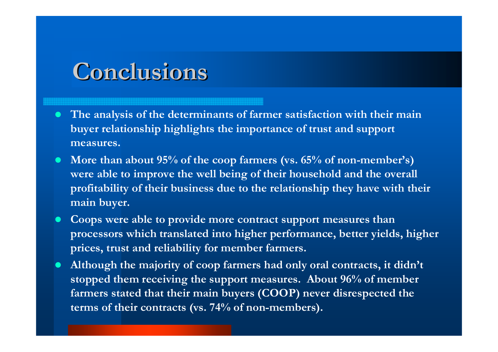## **Conclusions Conclusions**

- $\bullet$  **The analysis of the determinants of farmer satisfaction with their main buyer relationship highlights the importance of trust and support measures.**
- $\bullet$  **More than about 95% of the coop farmers (vs. 65% of non-member's) were able to improve the well being of their household and the overall profitability of their business due to the relationship they have with their main buyer.**
- $\bullet$  **Coops were able to provide more contract support measures than processors which translated into higher performance, better yields, higher prices, trust and reliability for member farmers.**
- $\bullet$  **Although the majority of coop farmers had only oral contracts, it didn't stopped them receiving the support measures. About 96% of member farmers stated that their main buyers (COOP) never disrespected the terms of their contracts (vs. 74% of non-members).**